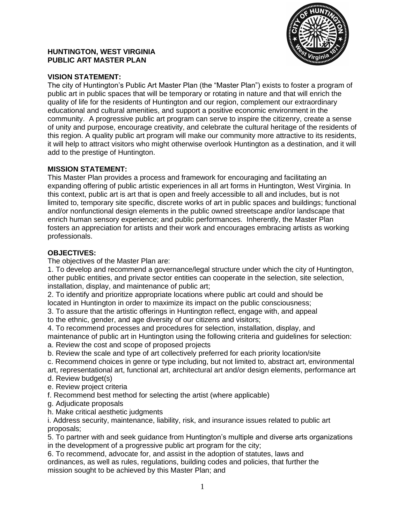

## **HUNTINGTON, WEST VIRGINIA PUBLIC ART MASTER PLAN**

# **VISION STATEMENT:**

The city of Huntington's Public Art Master Plan (the "Master Plan") exists to foster a program of public art in public spaces that will be temporary or rotating in nature and that will enrich the quality of life for the residents of Huntington and our region, complement our extraordinary educational and cultural amenities, and support a positive economic environment in the community. A progressive public art program can serve to inspire the citizenry, create a sense of unity and purpose, encourage creativity, and celebrate the cultural heritage of the residents of this region. A quality public art program will make our community more attractive to its residents, it will help to attract visitors who might otherwise overlook Huntington as a destination, and it will add to the prestige of Huntington.

## **MISSION STATEMENT:**

This Master Plan provides a process and framework for encouraging and facilitating an expanding offering of public artistic experiences in all art forms in Huntington, West Virginia. In this context, public art is art that is open and freely accessible to all and includes, but is not limited to, temporary site specific, discrete works of art in public spaces and buildings; functional and/or nonfunctional design elements in the public owned streetscape and/or landscape that enrich human sensory experience; and public performances. Inherently, the Master Plan fosters an appreciation for artists and their work and encourages embracing artists as working professionals.

## **OBJECTIVES:**

The objectives of the Master Plan are:

1. To develop and recommend a governance/legal structure under which the city of Huntington, other public entities, and private sector entities can cooperate in the selection, site selection, installation, display, and maintenance of public art;

2. To identify and prioritize appropriate locations where public art could and should be located in Huntington in order to maximize its impact on the public consciousness;

3. To assure that the artistic offerings in Huntington reflect, engage with, and appeal to the ethnic, gender, and age diversity of our citizens and visitors;

4. To recommend processes and procedures for selection, installation, display, and maintenance of public art in Huntington using the following criteria and guidelines for selection: a. Review the cost and scope of proposed projects

b. Review the scale and type of art collectively preferred for each priority location/site

c. Recommend choices in genre or type including, but not limited to, abstract art, environmental art, representational art, functional art, architectural art and/or design elements, performance art

d. Review budget(s)

e. Review project criteria

f. Recommend best method for selecting the artist (where applicable)

- g. Adjudicate proposals
- h. Make critical aesthetic judgments

i. Address security, maintenance, liability, risk, and insurance issues related to public art proposals;

5. To partner with and seek guidance from Huntington's multiple and diverse arts organizations in the development of a progressive public art program for the city;

6. To recommend, advocate for, and assist in the adoption of statutes, laws and ordinances, as well as rules, regulations, building codes and policies, that further the mission sought to be achieved by this Master Plan; and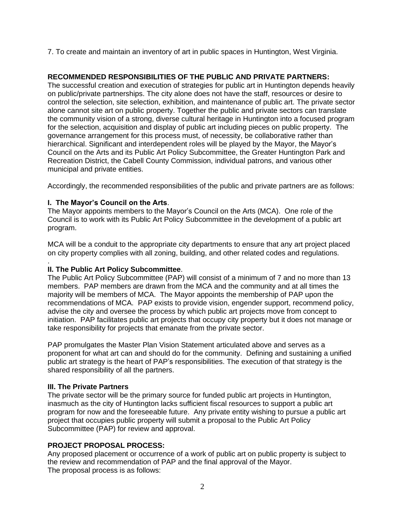7. To create and maintain an inventory of art in public spaces in Huntington, West Virginia.

# **RECOMMENDED RESPONSIBILITIES OF THE PUBLIC AND PRIVATE PARTNERS:**

The successful creation and execution of strategies for public art in Huntington depends heavily on public/private partnerships. The city alone does not have the staff, resources or desire to control the selection, site selection, exhibition, and maintenance of public art. The private sector alone cannot site art on public property. Together the public and private sectors can translate the community vision of a strong, diverse cultural heritage in Huntington into a focused program for the selection, acquisition and display of public art including pieces on public property. The governance arrangement for this process must, of necessity, be collaborative rather than hierarchical. Significant and interdependent roles will be played by the Mayor, the Mayor's Council on the Arts and its Public Art Policy Subcommittee, the Greater Huntington Park and Recreation District, the Cabell County Commission, individual patrons, and various other municipal and private entities.

Accordingly, the recommended responsibilities of the public and private partners are as follows:

## **I. The Mayor's Council on the Arts**.

The Mayor appoints members to the Mayor's Council on the Arts (MCA). One role of the Council is to work with its Public Art Policy Subcommittee in the development of a public art program.

MCA will be a conduit to the appropriate city departments to ensure that any art project placed on city property complies with all zoning, building, and other related codes and regulations.

#### . **II. The Public Art Policy Subcommittee**.

The Public Art Policy Subcommittee (PAP) will consist of a minimum of 7 and no more than 13 members. PAP members are drawn from the MCA and the community and at all times the majority will be members of MCA. The Mayor appoints the membership of PAP upon the recommendations of MCA. PAP exists to provide vision, engender support, recommend policy, advise the city and oversee the process by which public art projects move from concept to initiation. PAP facilitates public art projects that occupy city property but it does not manage or take responsibility for projects that emanate from the private sector.

PAP promulgates the Master Plan Vision Statement articulated above and serves as a proponent for what art can and should do for the community. Defining and sustaining a unified public art strategy is the heart of PAP's responsibilities. The execution of that strategy is the shared responsibility of all the partners.

## **III. The Private Partners**

The private sector will be the primary source for funded public art projects in Huntington, inasmuch as the city of Huntington lacks sufficient fiscal resources to support a public art program for now and the foreseeable future. Any private entity wishing to pursue a public art project that occupies public property will submit a proposal to the Public Art Policy Subcommittee (PAP) for review and approval.

# **PROJECT PROPOSAL PROCESS:**

Any proposed placement or occurrence of a work of public art on public property is subject to the review and recommendation of PAP and the final approval of the Mayor. The proposal process is as follows: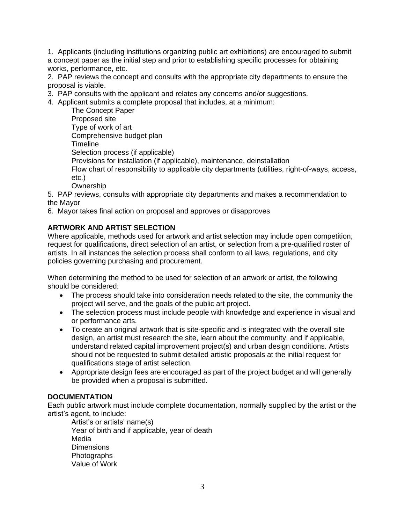1. Applicants (including institutions organizing public art exhibitions) are encouraged to submit a concept paper as the initial step and prior to establishing specific processes for obtaining works, performance, etc.

2. PAP reviews the concept and consults with the appropriate city departments to ensure the proposal is viable.

- 3. PAP consults with the applicant and relates any concerns and/or suggestions.
- 4. Applicant submits a complete proposal that includes, at a minimum:

The Concept Paper Proposed site Type of work of art Comprehensive budget plan **Timeline** Selection process (if applicable) Provisions for installation (if applicable), maintenance, deinstallation Flow chart of responsibility to applicable city departments (utilities, right-of-ways, access, etc.)

**Ownership** 

5. PAP reviews, consults with appropriate city departments and makes a recommendation to the Mayor

6. Mayor takes final action on proposal and approves or disapproves

## **ARTWORK AND ARTIST SELECTION**

Where applicable, methods used for artwork and artist selection may include open competition, request for qualifications, direct selection of an artist, or selection from a pre-qualified roster of artists. In all instances the selection process shall conform to all laws, regulations, and city policies governing purchasing and procurement.

When determining the method to be used for selection of an artwork or artist, the following should be considered:

- The process should take into consideration needs related to the site, the community the project will serve, and the goals of the public art project.
- The selection process must include people with knowledge and experience in visual and or performance arts.
- To create an original artwork that is site-specific and is integrated with the overall site design, an artist must research the site, learn about the community, and if applicable, understand related capital improvement project(s) and urban design conditions. Artists should not be requested to submit detailed artistic proposals at the initial request for qualifications stage of artist selection.
- Appropriate design fees are encouraged as part of the project budget and will generally be provided when a proposal is submitted.

## **DOCUMENTATION**

Each public artwork must include complete documentation, normally supplied by the artist or the artist's agent, to include:

Artist's or artists' name(s) Year of birth and if applicable, year of death Media **Dimensions Photographs** Value of Work